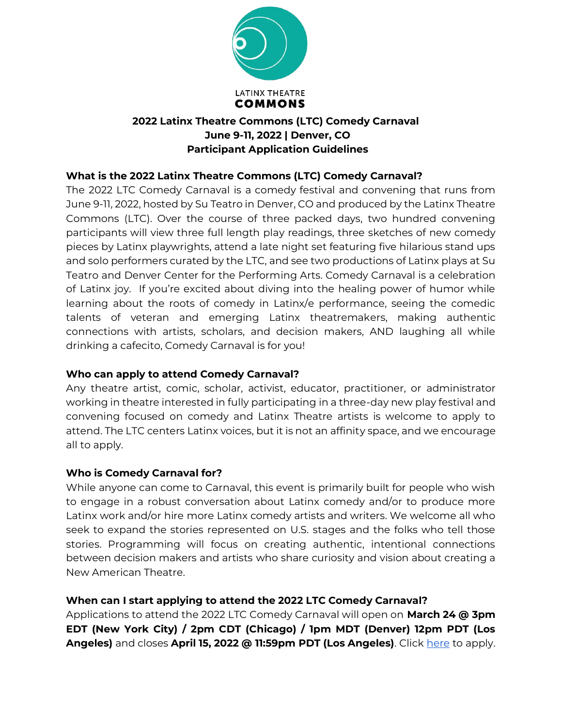

## **What is the 2022 Latinx Theatre Commons (LTC) Comedy Carnaval?**

The 2022 LTC Comedy Carnaval is a comedy festival and convening that runs from June 9-11, 2022, hosted by Su Teatro in Denver, CO and produced by the Latinx Theatre Commons (LTC). Over the course of three packed days, two hundred convening participants will view three full length play readings, three sketches of new comedy pieces by Latinx playwrights, attend a late night set featuring five hilarious stand ups and solo performers curated by the LTC, and see two productions of Latinx plays at Su Teatro and Denver Center for the Performing Arts. Comedy Carnaval is a celebration of Latinx joy. If you're excited about diving into the healing power of humor while learning about the roots of comedy in Latinx/e performance, seeing the comedic talents of veteran and emerging Latinx theatremakers, making authentic connections with artists, scholars, and decision makers, AND laughing all while drinking a cafecito, Comedy Carnaval is for you!

### **Who can apply to attend Comedy Carnaval?**

Any theatre artist, comic, scholar, activist, educator, practitioner, or administrator working in theatre interested in fully participating in a three-day new play festival and convening focused on comedy and Latinx Theatre artists is welcome to apply to attend. The LTC centers Latinx voices, but it is not an affinity space, and we encourage all to apply.

### **Who is Comedy Carnaval for?**

While anyone can come to Carnaval, this event is primarily built for people who wish to engage in a robust conversation about Latinx comedy and/or to produce more Latinx work and/or hire more Latinx comedy artists and writers. We welcome all who seek to expand the stories represented on U.S. stages and the folks who tell those stories. Programming will focus on creating authentic, intentional connections between decision makers and artists who share curiosity and vision about creating a New American Theatre.

## **When can I start applying to attend the 2022 LTC Comedy Carnaval?**

Applications to attend the 2022 LTC Comedy Carnaval will open on **March 24 @ 3pm EDT (New York City) / 2pm CDT (Chicago) / 1pm MDT (Denver) 12pm PDT (Los**  Angeles) and closes April 15, 2022 @ 11:59pm PDT (Los Angeles). Click [here](https://docs.google.com/forms/d/e/1FAIpQLScQXCXQRpRaF93kKpzsJLurKpKIfrE-I7ZgK7LdqsXgDdX10A/viewform) to apply.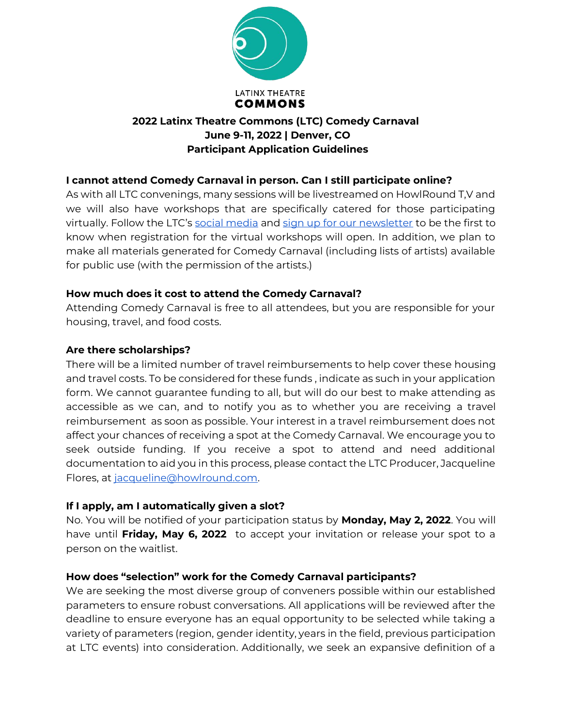

## **I cannot attend Comedy Carnaval in person. Can I still participate online?**

As with all LTC convenings, many sessions will be livestreamed on HowlRound T,V and we will also have workshops that are specifically catered for those participating virtually. Follow the LTC's [social media](https://www.instagram.com/latinxtheatrecommons/) and [sign up for our newsletter](https://howlround.us5.list-manage.com/subscribe?u=0e89ea7cf5fd12338f5543701&id=f4c2c3b34f) to be the first to know when registration for the virtual workshops will open. In addition, we plan to make all materials generated for Comedy Carnaval (including lists of artists) available for public use (with the permission of the artists.)

### **How much does it cost to attend the Comedy Carnaval?**

Attending Comedy Carnaval is free to all attendees, but you are responsible for your housing, travel, and food costs.

#### **Are there scholarships?**

There will be a limited number of travel reimbursements to help cover these housing and travel costs. To be considered for these funds , indicate as such in your application form. We cannot guarantee funding to all, but will do our best to make attending as accessible as we can, and to notify you as to whether you are receiving a travel reimbursement as soon as possible. Your interest in a travel reimbursement does not affect your chances of receiving a spot at the Comedy Carnaval. We encourage you to seek outside funding. If you receive a spot to attend and need additional documentation to aid you in this process, please contact the LTC Producer, Jacqueline Flores, at [jacqueline@howlround.com.](mailto:jacqueline@howlround.com)

### **If I apply, am I automatically given a slot?**

No. You will be notified of your participation status by **Monday, May 2, 2022**. You will have until **Friday, May 6, 2022** to accept your invitation or release your spot to a person on the waitlist.

### **How does "selection" work for the Comedy Carnaval participants?**

We are seeking the most diverse group of conveners possible within our established parameters to ensure robust conversations. All applications will be reviewed after the deadline to ensure everyone has an equal opportunity to be selected while taking a variety of parameters (region, gender identity, years in the field, previous participation at LTC events) into consideration. Additionally, we seek an expansive definition of a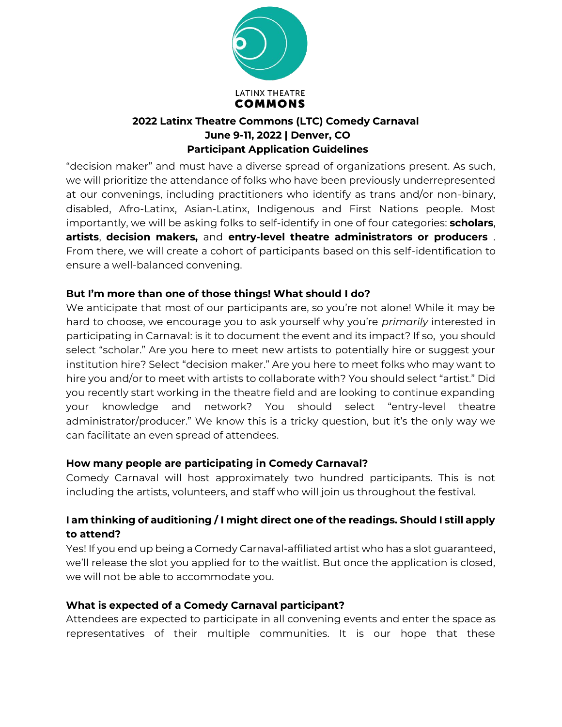

"decision maker" and must have a diverse spread of organizations present. As such, we will prioritize the attendance of folks who have been previously underrepresented at our convenings, including practitioners who identify as trans and/or non-binary, disabled, Afro-Latinx, Asian-Latinx, Indigenous and First Nations people. Most importantly, we will be asking folks to self-identify in one of four categories: **scholars**, **artists**, **decision makers,** and **entry-level theatre administrators or producers** . From there, we will create a cohort of participants based on this self-identification to ensure a well-balanced convening.

## **But I'm more than one of those things! What should I do?**

We anticipate that most of our participants are, so you're not alone! While it may be hard to choose, we encourage you to ask yourself why you're *primarily* interested in participating in Carnaval: is it to document the event and its impact? If so, you should select "scholar." Are you here to meet new artists to potentially hire or suggest your institution hire? Select "decision maker." Are you here to meet folks who may want to hire you and/or to meet with artists to collaborate with? You should select "artist." Did you recently start working in the theatre field and are looking to continue expanding your knowledge and network? You should select "entry-level theatre administrator/producer." We know this is a tricky question, but it's the only way we can facilitate an even spread of attendees.

### **How many people are participating in Comedy Carnaval?**

Comedy Carnaval will host approximately two hundred participants. This is not including the artists, volunteers, and staff who will join us throughout the festival.

## **I am thinking of auditioning / I might direct one of the readings. Should I still apply to attend?**

Yes! If you end up being a Comedy Carnaval-affiliated artist who has a slot guaranteed, we'll release the slot you applied for to the waitlist. But once the application is closed, we will not be able to accommodate you.

## **What is expected of a Comedy Carnaval participant?**

Attendees are expected to participate in all convening events and enter the space as representatives of their multiple communities. It is our hope that these